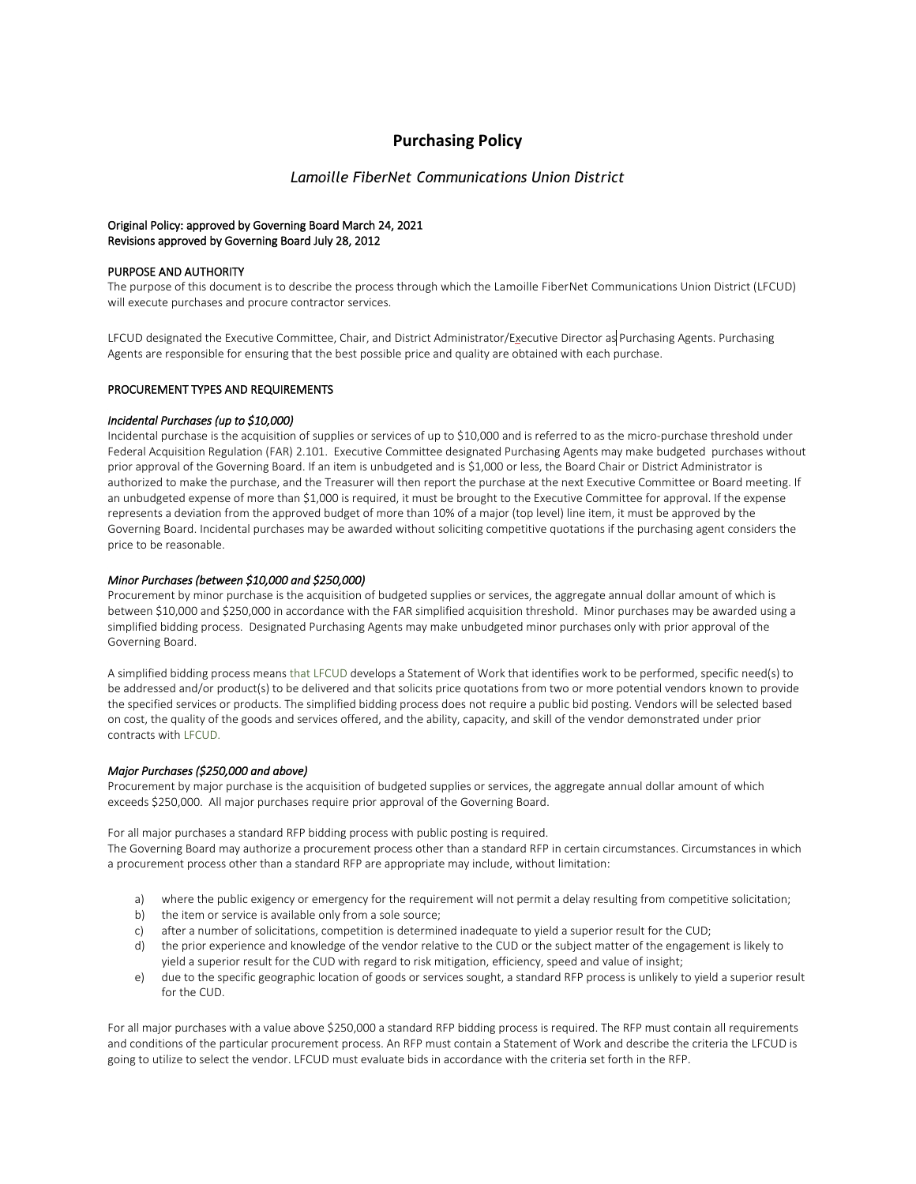# **Purchasing Policy**

# *Lamoille FiberNet Communications Union District*

## Original Policy: approved by Governing Board March 24, 2021 Revisions approved by Governing Board July 28, 2012

## PURPOSE AND AUTHORITY

The purpose of this document is to describe the process through which the Lamoille FiberNet Communications Union District (LFCUD) will execute purchases and procure contractor services.

LFCUD designated the Executive Committee, Chair, and District Administrator/Executive Director as Purchasing Agents. Purchasing Agents are responsible for ensuring that the best possible price and quality are obtained with each purchase.

#### PROCUREMENT TYPES AND REQUIREMENTS

#### *Incidental Purchases (up to \$10,000)*

Incidental purchase is the acquisition of supplies or services of up to \$10,000 and is referred to as the micro-purchase threshold under Federal Acquisition Regulation (FAR) 2.101. Executive Committee designated Purchasing Agents may make budgeted purchases without prior approval of the Governing Board. If an item is unbudgeted and is \$1,000 or less, the Board Chair or District Administrator is authorized to make the purchase, and the Treasurer will then report the purchase at the next Executive Committee or Board meeting. If an unbudgeted expense of more than \$1,000 is required, it must be brought to the Executive Committee for approval. If the expense represents a deviation from the approved budget of more than 10% of a major (top level) line item, it must be approved by the Governing Board. Incidental purchases may be awarded without soliciting competitive quotations if the purchasing agent considers the price to be reasonable.

#### *Minor Purchases (between \$10,000 and \$250,000)*

Procurement by minor purchase is the acquisition of budgeted supplies or services, the aggregate annual dollar amount of which is between \$10,000 and \$250,000 in accordance with the FAR simplified acquisition threshold. Minor purchases may be awarded using a simplified bidding process. Designated Purchasing Agents may make unbudgeted minor purchases only with prior approval of the Governing Board.

A simplified bidding process means that LFCUD develops a Statement of Work that identifies work to be performed, specific need(s) to be addressed and/or product(s) to be delivered and that solicits price quotations from two or more potential vendors known to provide the specified services or products. The simplified bidding process does not require a public bid posting. Vendors will be selected based on cost, the quality of the goods and services offered, and the ability, capacity, and skill of the vendor demonstrated under prior contracts with LFCUD.

#### *Major Purchases (\$250,000 and above)*

Procurement by major purchase is the acquisition of budgeted supplies or services, the aggregate annual dollar amount of which exceeds \$250,000. All major purchases require prior approval of the Governing Board.

For all major purchases a standard RFP bidding process with public posting is required.

The Governing Board may authorize a procurement process other than a standard RFP in certain circumstances. Circumstances in which a procurement process other than a standard RFP are appropriate may include, without limitation:

- a) where the public exigency or emergency for the requirement will not permit a delay resulting from competitive solicitation;
- b) the item or service is available only from a sole source;
- c) after a number of solicitations, competition is determined inadequate to yield a superior result for the CUD;
- d) the prior experience and knowledge of the vendor relative to the CUD or the subject matter of the engagement is likely to yield a superior result for the CUD with regard to risk mitigation, efficiency, speed and value of insight;
- e) due to the specific geographic location of goods or services sought, a standard RFP process is unlikely to yield a superior result for the CUD.

For all major purchases with a value above \$250,000 a standard RFP bidding process is required. The RFP must contain all requirements and conditions of the particular procurement process. An RFP must contain a Statement of Work and describe the criteria the LFCUD is going to utilize to select the vendor. LFCUD must evaluate bids in accordance with the criteria set forth in the RFP.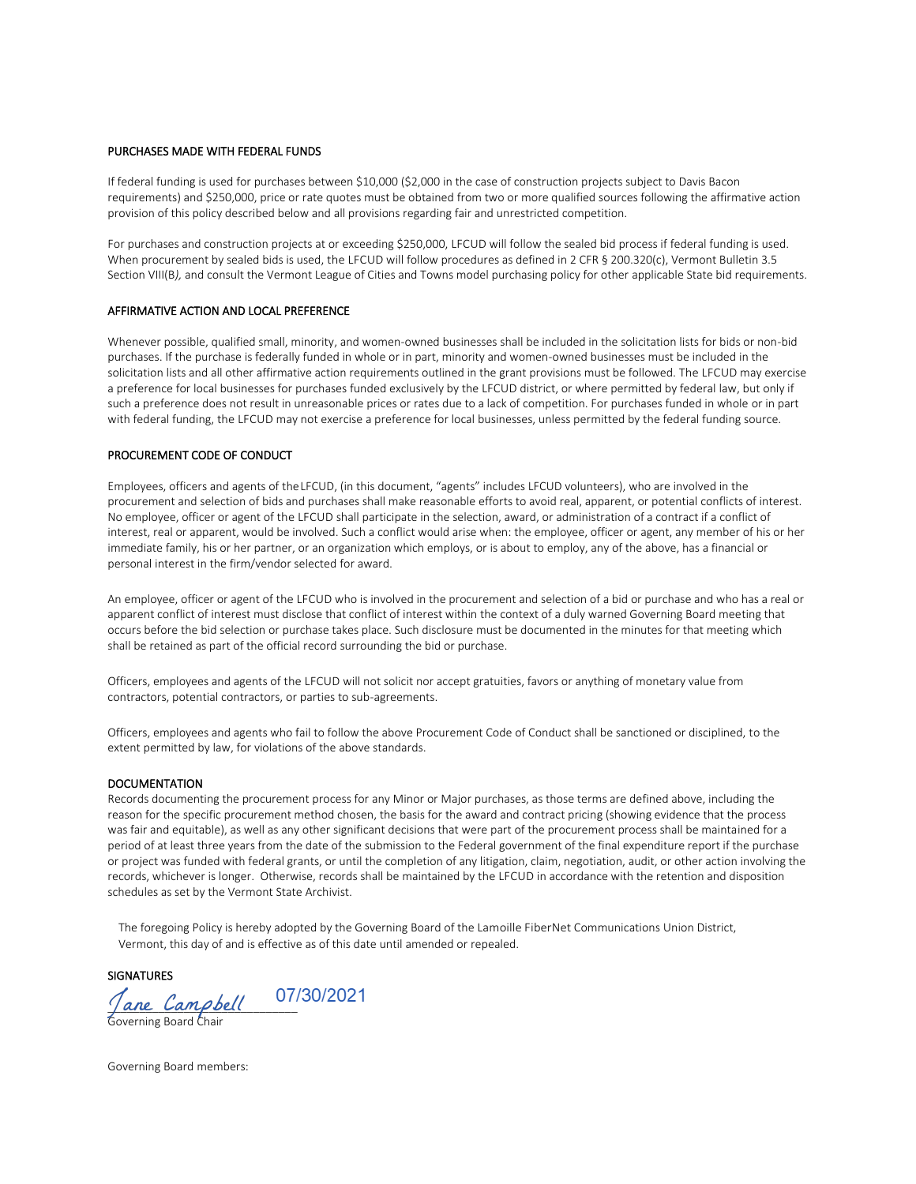#### PURCHASES MADE WITH FEDERAL FUNDS

If federal funding is used for purchases between \$10,000 (\$2,000 in the case of construction projects subject to Davis Bacon requirements) and \$250,000, price or rate quotes must be obtained from two or more qualified sources following the affirmative action provision of this policy described below and all provisions regarding fair and unrestricted competition.

For purchases and construction projects at or exceeding \$250,000, LFCUD will follow the sealed bid process if federal funding is used. When procurement by sealed bids is used, the LFCUD will follow procedures as defined in 2 CFR § 200.320(c), Vermont Bulletin 3.5 Section VIII(B*),* and consult the Vermont League of Cities and Towns model purchasing policy for other applicable State bid requirements.

### AFFIRMATIVE ACTION AND LOCAL PREFERENCE

Whenever possible, qualified small, minority, and women-owned businesses shall be included in the solicitation lists for bids or non-bid purchases. If the purchase is federally funded in whole or in part, minority and women-owned businesses must be included in the solicitation lists and all other affirmative action requirements outlined in the grant provisions must be followed. The LFCUD may exercise a preference for local businesses for purchases funded exclusively by the LFCUD district, or where permitted by federal law, but only if such a preference does not result in unreasonable prices or rates due to a lack of competition. For purchases funded in whole or in part with federal funding, the LFCUD may not exercise a preference for local businesses, unless permitted by the federal funding source.

#### PROCUREMENT CODE OF CONDUCT

Employees, officers and agents of theLFCUD, (in this document, "agents" includes LFCUD volunteers), who are involved in the procurement and selection of bids and purchases shall make reasonable efforts to avoid real, apparent, or potential conflicts of interest. No employee, officer or agent of the LFCUD shall participate in the selection, award, or administration of a contract if a conflict of interest, real or apparent, would be involved. Such a conflict would arise when: the employee, officer or agent, any member of his or her immediate family, his or her partner, or an organization which employs, or is about to employ, any of the above, has a financial or personal interest in the firm/vendor selected for award.

An employee, officer or agent of the LFCUD who is involved in the procurement and selection of a bid or purchase and who has a real or apparent conflict of interest must disclose that conflict of interest within the context of a duly warned Governing Board meeting that occurs before the bid selection or purchase takes place. Such disclosure must be documented in the minutes for that meeting which shall be retained as part of the official record surrounding the bid or purchase.

Officers, employees and agents of the LFCUD will not solicit nor accept gratuities, favors or anything of monetary value from contractors, potential contractors, or parties to sub-agreements.

Officers, employees and agents who fail to follow the above Procurement Code of Conduct shall be sanctioned or disciplined, to the extent permitted by law, for violations of the above standards.

#### DOCUMENTATION

Records documenting the procurement process for any Minor or Major purchases, as those terms are defined above, including the reason for the specific procurement method chosen, the basis for the award and contract pricing (showing evidence that the process was fair and equitable), as well as any other significant decisions that were part of the procurement process shall be maintained for a period of at least three years from the date of the submission to the Federal government of the final expenditure report if the purchase or project was funded with federal grants, or until the completion of any litigation, claim, negotiation, audit, or other action involving the records, whichever is longer. Otherwise, records shall be maintained by the LFCUD in accordance with the retention and disposition schedules as set by the Vermont State Archivist.

The foregoing Policy is hereby adopted by the Governing Board of the Lamoille FiberNet Communications Union District, Vermont, this day of and is effective as of this date until amended or repealed.

# **SIGNATURES**

Jane Campbell Governing Board Chair

Governing Board members: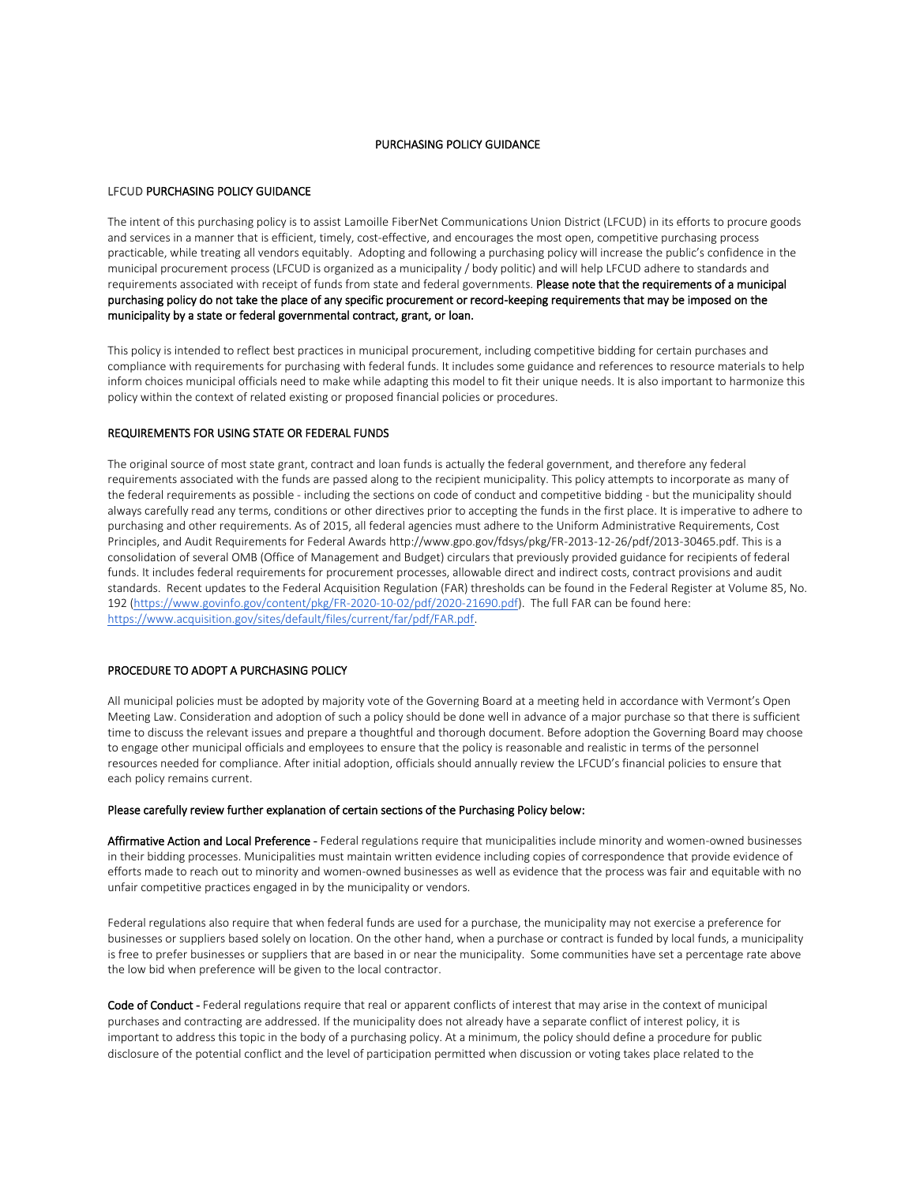# PURCHASING POLICY GUIDANCE

### LFCUD PURCHASING POLICY GUIDANCE

The intent of this purchasing policy is to assist Lamoille FiberNet Communications Union District (LFCUD) in its efforts to procure goods and services in a manner that is efficient, timely, cost-effective, and encourages the most open, competitive purchasing process practicable, while treating all vendors equitably. Adopting and following a purchasing policy will increase the public's confidence in the municipal procurement process (LFCUD is organized as a municipality / body politic) and will help LFCUD adhere to standards and requirements associated with receipt of funds from state and federal governments. Please note that the requirements of a municipal purchasing policy do not take the place of any specific procurement or record-keeping requirements that may be imposed on the municipality by a state or federal governmental contract, grant, or loan.

This policy is intended to reflect best practices in municipal procurement, including competitive bidding for certain purchases and compliance with requirements for purchasing with federal funds. It includes some guidance and references to resource materials to help inform choices municipal officials need to make while adapting this model to fit their unique needs. It is also important to harmonize this policy within the context of related existing or proposed financial policies or procedures.

#### REQUIREMENTS FOR USING STATE OR FEDERAL FUNDS

The original source of most state grant, contract and loan funds is actually the federal government, and therefore any federal requirements associated with the funds are passed along to the recipient municipality. This policy attempts to incorporate as many of the federal requirements as possible - including the sections on code of conduct and competitive bidding - but the municipality should always carefully read any terms, conditions or other directives prior to accepting the funds in the first place. It is imperative to adhere to purchasing and other requirements. As of 2015, all federal agencies must adhere to the Uniform Administrative Requirements, Cost Principles, and Audit Requirements for Federal Awards http://www.gpo.gov/fdsys/pkg/FR-2013-12-26/pdf/2013-30465.pdf. This is a consolidation of several OMB (Office of Management and Budget) circulars that previously provided guidance for recipients of federal funds. It includes federal requirements for procurement processes, allowable direct and indirect costs, contract provisions and audit standards. Recent updates to the Federal Acquisition Regulation (FAR) thresholds can be found in the Federal Register at Volume 85, No. 192 (https://www.govinfo.gov/content/pkg/FR-2020-10-02/pdf/2020-21690.pdf). The full FAR can be found here: https://www.acquisition.gov/sites/default/files/current/far/pdf/FAR.pdf.

#### PROCEDURE TO ADOPT A PURCHASING POLICY

All municipal policies must be adopted by majority vote of the Governing Board at a meeting held in accordance with Vermont's Open Meeting Law. Consideration and adoption of such a policy should be done well in advance of a major purchase so that there is sufficient time to discuss the relevant issues and prepare a thoughtful and thorough document. Before adoption the Governing Board may choose to engage other municipal officials and employees to ensure that the policy is reasonable and realistic in terms of the personnel resources needed for compliance. After initial adoption, officials should annually review the LFCUD's financial policies to ensure that each policy remains current.

#### Please carefully review further explanation of certain sections of the Purchasing Policy below:

Affirmative Action and Local Preference - Federal regulations require that municipalities include minority and women-owned businesses in their bidding processes. Municipalities must maintain written evidence including copies of correspondence that provide evidence of efforts made to reach out to minority and women-owned businesses as well as evidence that the process was fair and equitable with no unfair competitive practices engaged in by the municipality or vendors.

Federal regulations also require that when federal funds are used for a purchase, the municipality may not exercise a preference for businesses or suppliers based solely on location. On the other hand, when a purchase or contract is funded by local funds, a municipality is free to prefer businesses or suppliers that are based in or near the municipality. Some communities have set a percentage rate above the low bid when preference will be given to the local contractor.

Code of Conduct - Federal regulations require that real or apparent conflicts of interest that may arise in the context of municipal purchases and contracting are addressed. If the municipality does not already have a separate conflict of interest policy, it is important to address this topic in the body of a purchasing policy. At a minimum, the policy should define a procedure for public disclosure of the potential conflict and the level of participation permitted when discussion or voting takes place related to the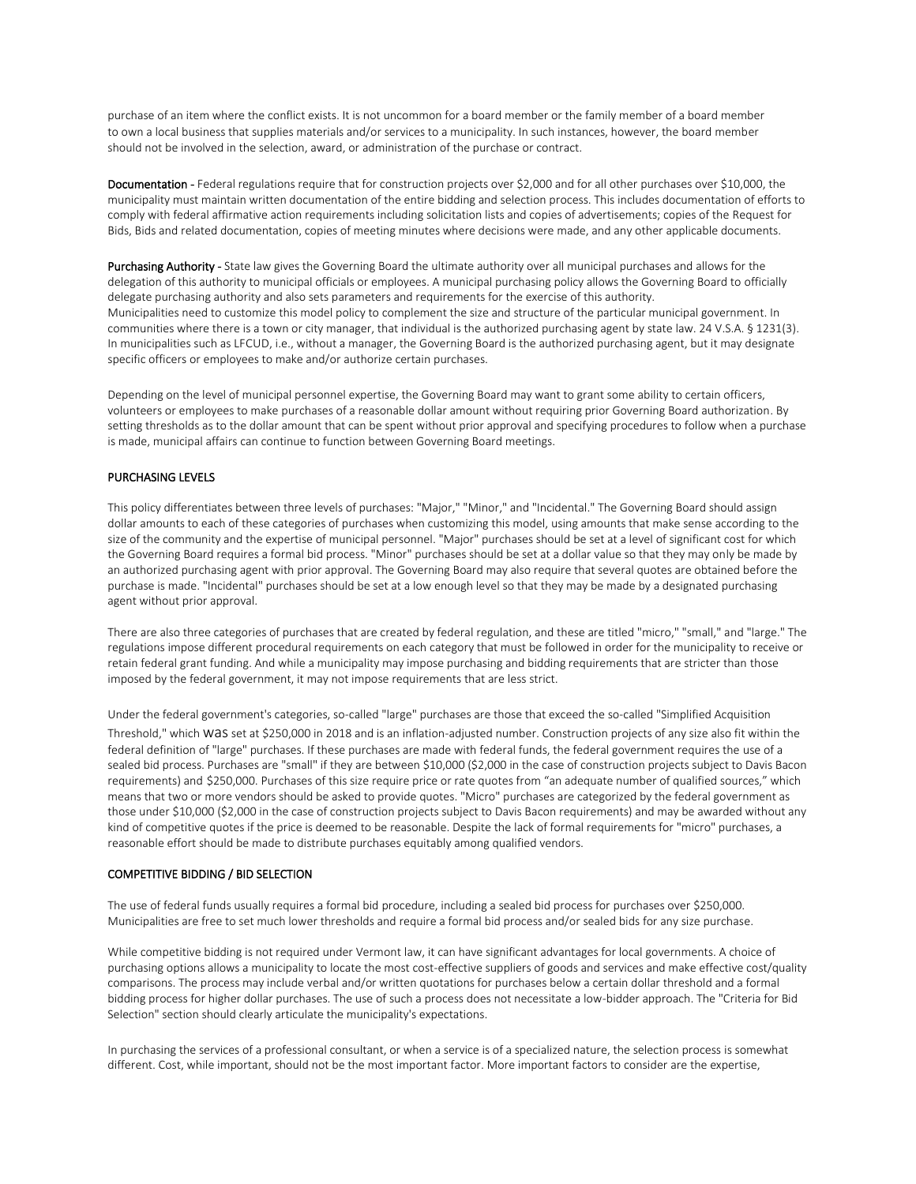purchase of an item where the conflict exists. It is not uncommon for a board member or the family member of a board member to own a local business that supplies materials and/or services to a municipality. In such instances, however, the board member should not be involved in the selection, award, or administration of the purchase or contract.

Documentation - Federal regulations require that for construction projects over \$2,000 and for all other purchases over \$10,000, the municipality must maintain written documentation of the entire bidding and selection process. This includes documentation of efforts to comply with federal affirmative action requirements including solicitation lists and copies of advertisements; copies of the Request for Bids, Bids and related documentation, copies of meeting minutes where decisions were made, and any other applicable documents.

Purchasing Authority - State law gives the Governing Board the ultimate authority over all municipal purchases and allows for the delegation of this authority to municipal officials or employees. A municipal purchasing policy allows the Governing Board to officially delegate purchasing authority and also sets parameters and requirements for the exercise of this authority. Municipalities need to customize this model policy to complement the size and structure of the particular municipal government. In communities where there is a town or city manager, that individual is the authorized purchasing agent by state law. 24 V.S.A. § 1231(3). In municipalities such as LFCUD, i.e., without a manager, the Governing Board is the authorized purchasing agent, but it may designate specific officers or employees to make and/or authorize certain purchases.

Depending on the level of municipal personnel expertise, the Governing Board may want to grant some ability to certain officers, volunteers or employees to make purchases of a reasonable dollar amount without requiring prior Governing Board authorization. By setting thresholds as to the dollar amount that can be spent without prior approval and specifying procedures to follow when a purchase is made, municipal affairs can continue to function between Governing Board meetings.

### PURCHASING LEVELS

This policy differentiates between three levels of purchases: "Major," "Minor," and "Incidental." The Governing Board should assign dollar amounts to each of these categories of purchases when customizing this model, using amounts that make sense according to the size of the community and the expertise of municipal personnel. "Major" purchases should be set at a level of significant cost for which the Governing Board requires a formal bid process. "Minor" purchases should be set at a dollar value so that they may only be made by an authorized purchasing agent with prior approval. The Governing Board may also require that several quotes are obtained before the purchase is made. "Incidental" purchases should be set at a low enough level so that they may be made by a designated purchasing agent without prior approval.

There are also three categories of purchases that are created by federal regulation, and these are titled "micro," "small," and "large." The regulations impose different procedural requirements on each category that must be followed in order for the municipality to receive or retain federal grant funding. And while a municipality may impose purchasing and bidding requirements that are stricter than those imposed by the federal government, it may not impose requirements that are less strict.

Under the federal government's categories, so-called "large" purchases are those that exceed the so-called "Simplified Acquisition

Threshold," which WaS set at \$250,000 in 2018 and is an inflation-adjusted number. Construction projects of any size also fit within the federal definition of "large" purchases. If these purchases are made with federal funds, the federal government requires the use of a sealed bid process. Purchases are "small" if they are between \$10,000 (\$2,000 in the case of construction projects subject to Davis Bacon requirements) and \$250,000. Purchases of this size require price or rate quotes from "an adequate number of qualified sources," which means that two or more vendors should be asked to provide quotes. "Micro" purchases are categorized by the federal government as those under \$10,000 (\$2,000 in the case of construction projects subject to Davis Bacon requirements) and may be awarded without any kind of competitive quotes if the price is deemed to be reasonable. Despite the lack of formal requirements for "micro" purchases, a reasonable effort should be made to distribute purchases equitably among qualified vendors.

# COMPETITIVE BIDDING / BID SELECTION

The use of federal funds usually requires a formal bid procedure, including a sealed bid process for purchases over \$250,000. Municipalities are free to set much lower thresholds and require a formal bid process and/or sealed bids for any size purchase.

While competitive bidding is not required under Vermont law, it can have significant advantages for local governments. A choice of purchasing options allows a municipality to locate the most cost-effective suppliers of goods and services and make effective cost/quality comparisons. The process may include verbal and/or written quotations for purchases below a certain dollar threshold and a formal bidding process for higher dollar purchases. The use of such a process does not necessitate a low-bidder approach. The "Criteria for Bid Selection" section should clearly articulate the municipality's expectations.

In purchasing the services of a professional consultant, or when a service is of a specialized nature, the selection process is somewhat different. Cost, while important, should not be the most important factor. More important factors to consider are the expertise,